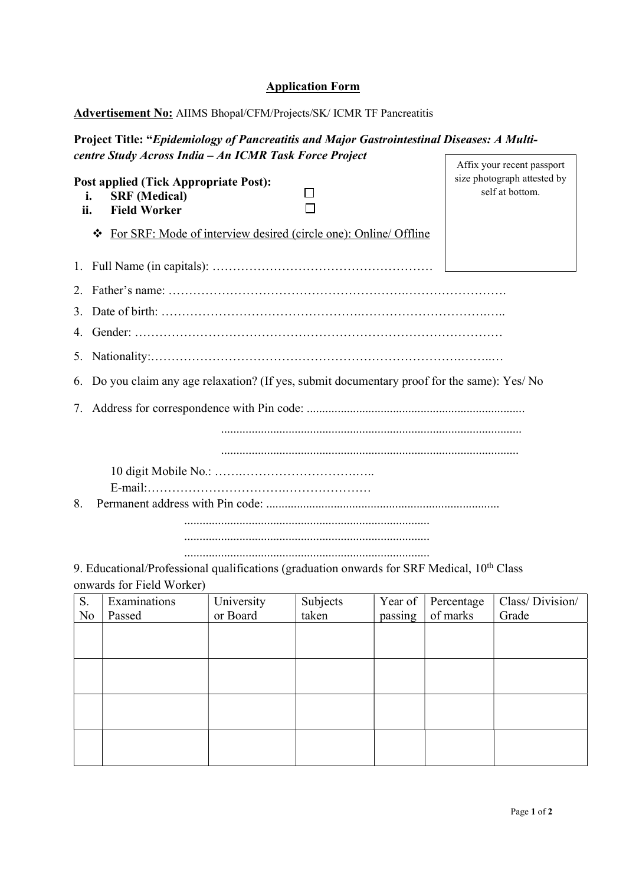## Application Form

## Advertisement No: AIIMS Bhopal/CFM/Projects/SK/ ICMR TF Pancreatitis

## Project Title: "Epidemiology of Pancreatitis and Major Gastrointestinal Diseases: A Multicentre Study Across India – An ICMR Task Force Project Affix your recent passport

| <b>Post applied (Tick Appropriate Post):</b><br><b>SRF</b> (Medical)<br>i.<br>ii.<br><b>Field Worker</b> |                                                                                                                                     |            |          |         |            | size photograph attested by<br>self at bottom. |  |  |  |  |  |
|----------------------------------------------------------------------------------------------------------|-------------------------------------------------------------------------------------------------------------------------------------|------------|----------|---------|------------|------------------------------------------------|--|--|--|--|--|
| ❖                                                                                                        | For SRF: Mode of interview desired (circle one): Online/ Offline                                                                    |            |          |         |            |                                                |  |  |  |  |  |
|                                                                                                          |                                                                                                                                     |            |          |         |            |                                                |  |  |  |  |  |
| 2.                                                                                                       |                                                                                                                                     |            |          |         |            |                                                |  |  |  |  |  |
| 3.                                                                                                       |                                                                                                                                     |            |          |         |            |                                                |  |  |  |  |  |
| 4.                                                                                                       |                                                                                                                                     |            |          |         |            |                                                |  |  |  |  |  |
| 5.                                                                                                       |                                                                                                                                     |            |          |         |            |                                                |  |  |  |  |  |
|                                                                                                          | 6. Do you claim any age relaxation? (If yes, submit documentary proof for the same): Yes/ No                                        |            |          |         |            |                                                |  |  |  |  |  |
|                                                                                                          |                                                                                                                                     |            |          |         |            |                                                |  |  |  |  |  |
| 8.                                                                                                       |                                                                                                                                     |            |          |         |            |                                                |  |  |  |  |  |
|                                                                                                          | 9. Educational/Professional qualifications (graduation onwards for SRF Medical, 10 <sup>th</sup> Class<br>onwards for Field Worker) |            |          |         |            |                                                |  |  |  |  |  |
| S.                                                                                                       | Examinations                                                                                                                        | University | Subjects | Year of | Percentage | Class/Division/                                |  |  |  |  |  |
| N <sub>o</sub>                                                                                           | Passed                                                                                                                              | or Board   | taken    | passing | of marks   | Grade                                          |  |  |  |  |  |
|                                                                                                          |                                                                                                                                     |            |          |         |            |                                                |  |  |  |  |  |
|                                                                                                          |                                                                                                                                     |            |          |         |            |                                                |  |  |  |  |  |
|                                                                                                          |                                                                                                                                     |            |          |         |            |                                                |  |  |  |  |  |